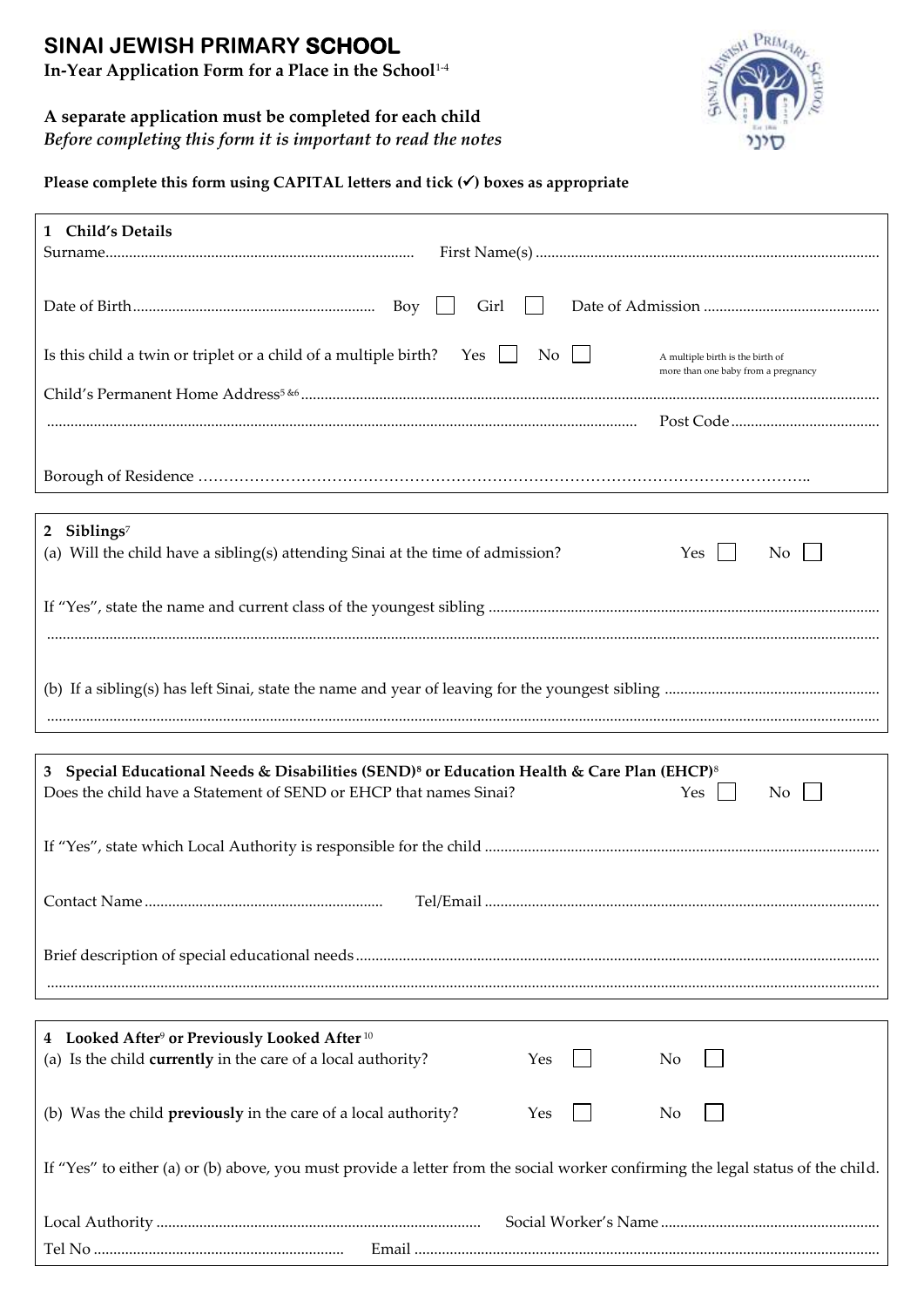# **SINAI JEWISH PRIMARY SCHOOL**

**In-Year Application Form for a Place in the School**1-4

# **A separate application must be completed for each child**

*Before completing this form it is important to read the notes*



Please complete this form using CAPITAL letters and tick ( $\checkmark$ ) boxes as appropriate

| 1 Child's Details                                                                                                                                                                                    |  |  |  |  |
|------------------------------------------------------------------------------------------------------------------------------------------------------------------------------------------------------|--|--|--|--|
| Girl                                                                                                                                                                                                 |  |  |  |  |
| Is this child a twin or triplet or a child of a multiple birth? Yes $\Box$ No $\Box$<br>A multiple birth is the birth of<br>more than one baby from a pregnancy                                      |  |  |  |  |
|                                                                                                                                                                                                      |  |  |  |  |
|                                                                                                                                                                                                      |  |  |  |  |
| 2 Siblings <sup>7</sup><br>(a) Will the child have a sibling(s) attending Sinai at the time of admission?<br>Yes<br>No                                                                               |  |  |  |  |
|                                                                                                                                                                                                      |  |  |  |  |
|                                                                                                                                                                                                      |  |  |  |  |
|                                                                                                                                                                                                      |  |  |  |  |
| 3 Special Educational Needs & Disabilities (SEND) <sup>8</sup> or Education Health & Care Plan (EHCP) <sup>8</sup><br>Does the child have a Statement of SEND or EHCP that names Sinai?<br>Yes<br>No |  |  |  |  |
|                                                                                                                                                                                                      |  |  |  |  |
|                                                                                                                                                                                                      |  |  |  |  |
|                                                                                                                                                                                                      |  |  |  |  |
|                                                                                                                                                                                                      |  |  |  |  |
| 4 Looked After <sup>9</sup> or Previously Looked After <sup>10</sup><br>(a) Is the child currently in the care of a local authority?<br>Yes<br>No                                                    |  |  |  |  |
| (b) Was the child <b>previously</b> in the care of a local authority?<br>Yes<br>No                                                                                                                   |  |  |  |  |
| If "Yes" to either (a) or (b) above, you must provide a letter from the social worker confirming the legal status of the child.                                                                      |  |  |  |  |
| Email                                                                                                                                                                                                |  |  |  |  |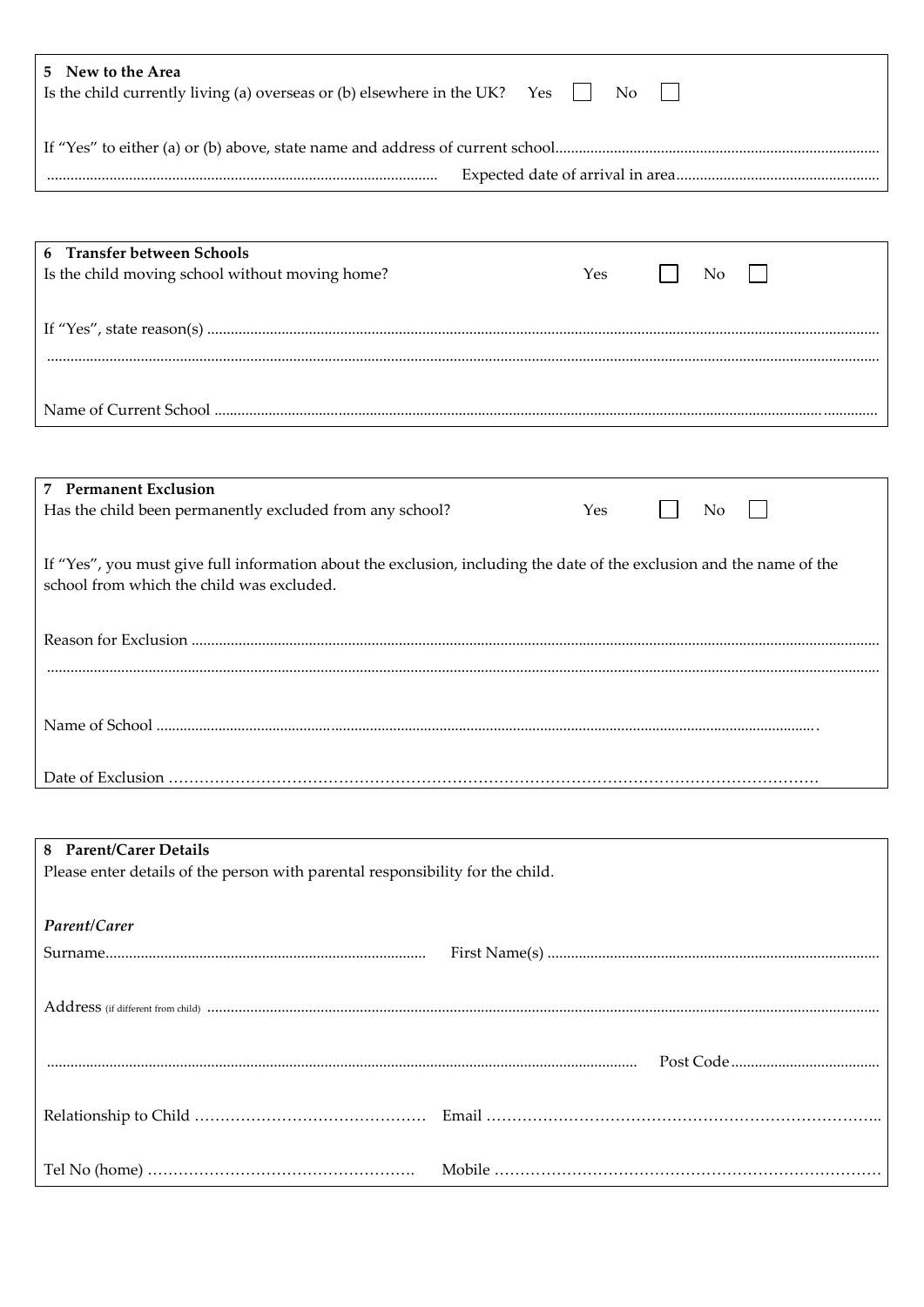| 5 New to the Area<br>Is the child currently living (a) overseas or (b) elsewhere in the UK? Yes $\Box$<br>No          |  |  |  |  |  |
|-----------------------------------------------------------------------------------------------------------------------|--|--|--|--|--|
|                                                                                                                       |  |  |  |  |  |
|                                                                                                                       |  |  |  |  |  |
|                                                                                                                       |  |  |  |  |  |
|                                                                                                                       |  |  |  |  |  |
| 6 Transfer between Schools                                                                                            |  |  |  |  |  |
| Is the child moving school without moving home?<br>Yes<br>No                                                          |  |  |  |  |  |
|                                                                                                                       |  |  |  |  |  |
|                                                                                                                       |  |  |  |  |  |
|                                                                                                                       |  |  |  |  |  |
|                                                                                                                       |  |  |  |  |  |
|                                                                                                                       |  |  |  |  |  |
|                                                                                                                       |  |  |  |  |  |
|                                                                                                                       |  |  |  |  |  |
| <b>7</b> Permanent Exclusion                                                                                          |  |  |  |  |  |
|                                                                                                                       |  |  |  |  |  |
| Has the child been permanently excluded from any school?<br>Yes<br>No                                                 |  |  |  |  |  |
|                                                                                                                       |  |  |  |  |  |
| If "Yes", you must give full information about the exclusion, including the date of the exclusion and the name of the |  |  |  |  |  |
| school from which the child was excluded.                                                                             |  |  |  |  |  |
|                                                                                                                       |  |  |  |  |  |
|                                                                                                                       |  |  |  |  |  |
|                                                                                                                       |  |  |  |  |  |
|                                                                                                                       |  |  |  |  |  |
|                                                                                                                       |  |  |  |  |  |
|                                                                                                                       |  |  |  |  |  |
|                                                                                                                       |  |  |  |  |  |
|                                                                                                                       |  |  |  |  |  |
|                                                                                                                       |  |  |  |  |  |
|                                                                                                                       |  |  |  |  |  |
|                                                                                                                       |  |  |  |  |  |
|                                                                                                                       |  |  |  |  |  |
| <b>Parent/Carer Details</b><br>8                                                                                      |  |  |  |  |  |
| Please enter details of the person with parental responsibility for the child.                                        |  |  |  |  |  |
|                                                                                                                       |  |  |  |  |  |
| Parent/Carer                                                                                                          |  |  |  |  |  |
|                                                                                                                       |  |  |  |  |  |
|                                                                                                                       |  |  |  |  |  |
|                                                                                                                       |  |  |  |  |  |
|                                                                                                                       |  |  |  |  |  |
|                                                                                                                       |  |  |  |  |  |
|                                                                                                                       |  |  |  |  |  |
|                                                                                                                       |  |  |  |  |  |
|                                                                                                                       |  |  |  |  |  |
|                                                                                                                       |  |  |  |  |  |
|                                                                                                                       |  |  |  |  |  |
|                                                                                                                       |  |  |  |  |  |
|                                                                                                                       |  |  |  |  |  |
|                                                                                                                       |  |  |  |  |  |